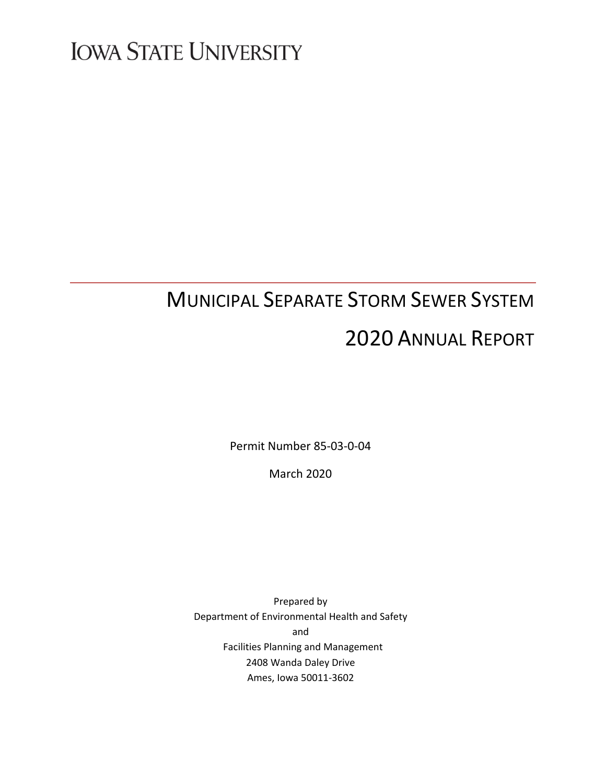# **IOWA STATE UNIVERSITY**

# MUNICIPAL SEPARATE STORM SEWER SYSTEM 2020 ANNUAL REPORT

Permit Number 85-03-0-04

March 2020

Prepared by Department of Environmental Health and Safety and Facilities Planning and Management 2408 Wanda Daley Drive Ames, Iowa 50011-3602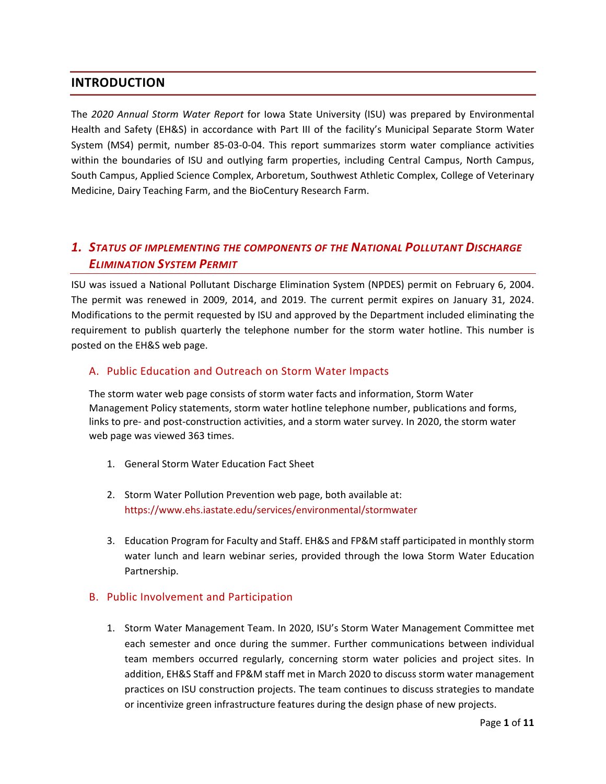# **INTRODUCTION**

The *2020 Annual Storm Water Report* for Iowa State University (ISU) was prepared by Environmental Health and Safety (EH&S) in accordance with Part III of the facility's Municipal Separate Storm Water System (MS4) permit, number 85-03-0-04. This report summarizes storm water compliance activities within the boundaries of ISU and outlying farm properties, including Central Campus, North Campus, South Campus, Applied Science Complex, Arboretum, Southwest Athletic Complex, College of Veterinary Medicine, Dairy Teaching Farm, and the BioCentury Research Farm.

# *1. STATUS OF IMPLEMENTING THE COMPONENTS OF THE NATIONAL POLLUTANT DISCHARGE ELIMINATION SYSTEM PERMIT*

ISU was issued a National Pollutant Discharge Elimination System (NPDES) permit on February 6, 2004. The permit was renewed in 2009, 2014, and 2019. The current permit expires on January 31, 2024. Modifications to the permit requested by ISU and approved by the Department included eliminating the requirement to publish quarterly the telephone number for the storm water hotline. This number is posted on the EH&S web page.

# A. Public Education and Outreach on Storm Water Impacts

The storm water web page consists of storm water facts and information, Storm Water Management Policy statements, storm water hotline telephone number, publications and forms, links to pre- and post-construction activities, and a storm water survey. In 2020, the storm water web page was viewed 363 times.

- 1. General Storm Water Education Fact Sheet
- 2. Storm Water Pollution Prevention web page, both available at: <https://www.ehs.iastate.edu/services/environmental/stormwater>
- 3. Education Program for Faculty and Staff. EH&S and FP&M staff participated in monthly storm water lunch and learn webinar series, provided through the Iowa Storm Water Education Partnership.

# B. Public Involvement and Participation

1. Storm Water Management Team. In 2020, ISU's Storm Water Management Committee met each semester and once during the summer. Further communications between individual team members occurred regularly, concerning storm water policies and project sites. In addition, EH&S Staff and FP&M staff met in March 2020 to discuss storm water management practices on ISU construction projects. The team continues to discuss strategies to mandate or incentivize green infrastructure features during the design phase of new projects.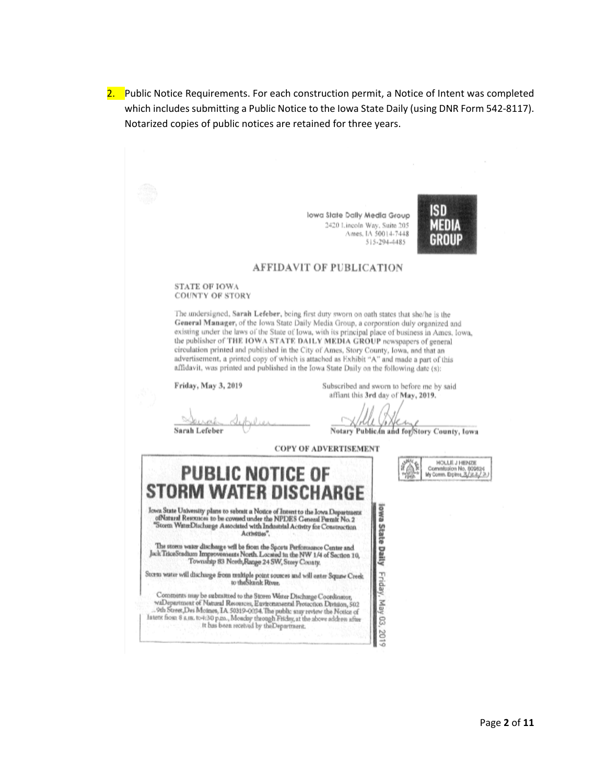2. Public Notice Requirements. For each construction permit, a Notice of Intent was completed which includes submitting a Public Notice to the Iowa State Daily (using DNR Form 542-8117). Notarized copies of public notices are retained for three years.

> lowa State Dally Media Group 2420 Lincoln Way, Suite 205 Ames, IA 50014-7448 515-294-4485



### **AFFIDAVIT OF PUBLICATION**

#### STATE OF IOWA **COUNTY OF STORY**

The undersigned, Sarah Lefeber, being first duty sworn on oath states that she/he is the General Manager, of the Iowa State Daily Media Group, a corporation duly organized and existing under the laws of the State of Iowa, with its principal place of business in Ames, Iowa, the publisher of THE IOWA STATE DAILY MEDIA GROUP newspapers of general circulation printed and published in the City of Ames, Story County, Iowa, and that an advertisement, a printed copy of which is attached as Exhibit "A" and made a part of this affidavit, was printed and published in the Iowa State Daily on the following date (s):

Friday, May 3, 2019

affiant this 3rd day of May, 2019.

xx. Sarah Lefeber

offen Notary Public In and for Story County, Iowa

Subscribed and sworn to before me by said



**COPY OF ADVERTISEMENT** 

| <b>PUBLIC NOTICE OF</b><br><b>STORM WATER DISCHARGE</b>                                                                                                                                                                                                                                                                                                        |  |
|----------------------------------------------------------------------------------------------------------------------------------------------------------------------------------------------------------------------------------------------------------------------------------------------------------------------------------------------------------------|--|
| Iowa State University plans to submit a Notice of Intent to the Iowa Department<br>ofNatural Resources to be covered under the NPDES General Permit No. 2<br>"Storm WaterDischarge Associated with Industrial Activity for Construction<br>Activities".                                                                                                        |  |
| The storm water discharge will be from the Sports Performance Center and<br>Jack TriceStudium Improvements North. Located in the NW 1/4 of Section 10,<br>Township 83 North, Range 24 SW, Story County.                                                                                                                                                        |  |
| Storm water will discharge from multiple point sources and will enter Squaw Creek.<br>to the Skunk River.                                                                                                                                                                                                                                                      |  |
| Comments may be submitted to the Storm Water Discharge Coordinator,<br>waDepartment of Natural Resources, Euvironmental Protection Division, 502<br>9th Street Des Moines, IA 50319-0034. The public snay review the Notice of<br>Intent from 8 a.m. to 4:30 p.m., Monday through Friday, at the above address after<br>It has been received by theDepartment. |  |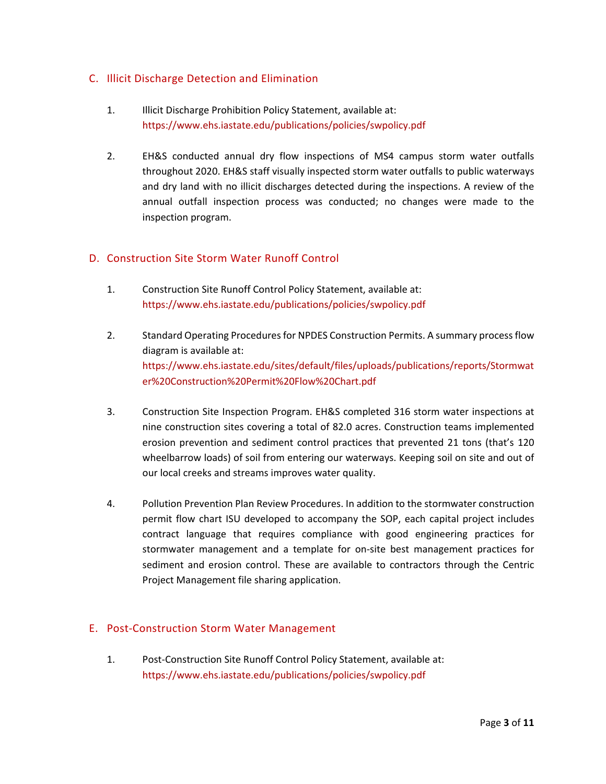# C. Illicit Discharge Detection and Elimination

- 1. Illicit Discharge Prohibition Policy Statement, available at: <https://www.ehs.iastate.edu/publications/policies/swpolicy.pdf>
- 2. EH&S conducted annual dry flow inspections of MS4 campus storm water outfalls throughout 2020. EH&S staff visually inspected storm water outfalls to public waterways and dry land with no illicit discharges detected during the inspections. A review of the annual outfall inspection process was conducted; no changes were made to the inspection program.

# D. Construction Site Storm Water Runoff Control

- 1. Construction Site Runoff Control Policy Statement, available at: <https://www.ehs.iastate.edu/publications/policies/swpolicy.pdf>
- 2. Standard Operating Procedures for NPDES Construction Permits. A summary process flow diagram is available at: [https://www.ehs.iastate.edu/sites/default/files/uploads/publications/reports/Stormwat](https://www.ehs.iastate.edu/sites/default/files/uploads/publications/reports/Stormwater%20Construction%20Permit%20Flow%20Chart.pdf) [er%20Construction%20Permit%20Flow%20Chart.pdf](https://www.ehs.iastate.edu/sites/default/files/uploads/publications/reports/Stormwater%20Construction%20Permit%20Flow%20Chart.pdf)
- 3. Construction Site Inspection Program. EH&S completed 316 storm water inspections at nine construction sites covering a total of 82.0 acres. Construction teams implemented erosion prevention and sediment control practices that prevented 21 tons (that's 120 wheelbarrow loads) of soil from entering our waterways. Keeping soil on site and out of our local creeks and streams improves water quality.
- 4. Pollution Prevention Plan Review Procedures. In addition to the stormwater construction permit flow chart ISU developed to accompany the SOP, each capital project includes contract language that requires compliance with good engineering practices for stormwater management and a template for on-site best management practices for sediment and erosion control. These are available to contractors through the Centric Project Management file sharing application.

# E. Post-Construction Storm Water Management

1. Post-Construction Site Runoff Control Policy Statement, available at: <https://www.ehs.iastate.edu/publications/policies/swpolicy.pdf>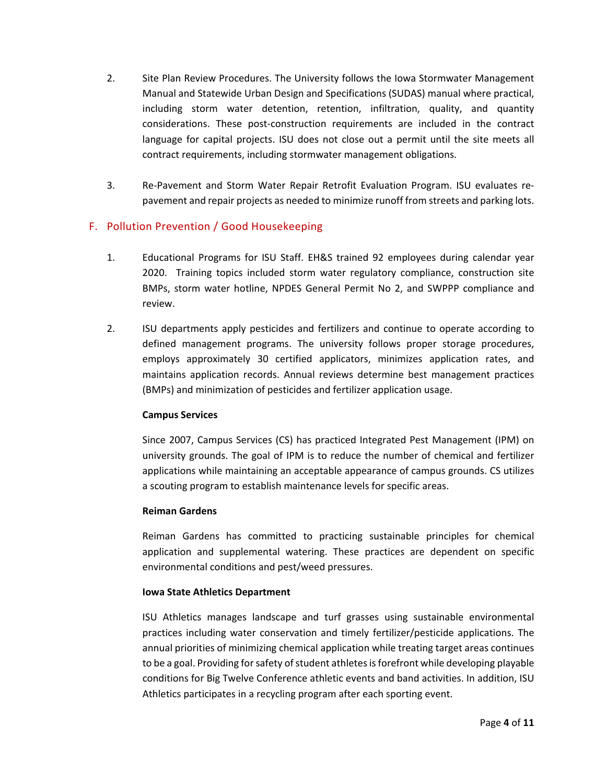- 2. Site Plan Review Procedures. The University follows the Iowa Stormwater Management Manual and Statewide Urban Design and Specifications (SUDAS) manual where practical, including storm water detention, retention, infiltration, quality, and quantity considerations. These post-construction requirements are included in the contract language for capital projects. ISU does not close out a permit until the site meets all contract requirements, including stormwater management obligations.
- 3. Re-Pavement and Storm Water Repair Retrofit Evaluation Program. ISU evaluates repavement and repair projects as needed to minimize runoff from streets and parking lots.

# F. Pollution Prevention / Good Housekeeping

- 1. Educational Programs for ISU Staff. EH&S trained 92 employees during calendar year 2020. Training topics included storm water regulatory compliance, construction site BMPs, storm water hotline, NPDES General Permit No 2, and SWPPP compliance and review.
- 2. ISU departments apply pesticides and fertilizers and continue to operate according to defined management programs. The university follows proper storage procedures, employs approximately 30 certified applicators, minimizes application rates, and maintains application records. Annual reviews determine best management practices (BMPs) and minimization of pesticides and fertilizer application usage.

## **Campus Services**

Since 2007, Campus Services (CS) has practiced Integrated Pest Management (IPM) on university grounds. The goal of IPM is to reduce the number of chemical and fertilizer applications while maintaining an acceptable appearance of campus grounds. CS utilizes a scouting program to establish maintenance levels for specific areas.

## **Reiman Gardens**

Reiman Gardens has committed to practicing sustainable principles for chemical application and supplemental watering. These practices are dependent on specific environmental conditions and pest/weed pressures.

## **Iowa State Athletics Department**

ISU Athletics manages landscape and turf grasses using sustainable environmental practices including water conservation and timely fertilizer/pesticide applications. The annual priorities of minimizing chemical application while treating target areas continues to be a goal. Providing for safety of student athletes is forefront while developing playable conditions for Big Twelve Conference athletic events and band activities. In addition, ISU Athletics participates in a recycling program after each sporting event.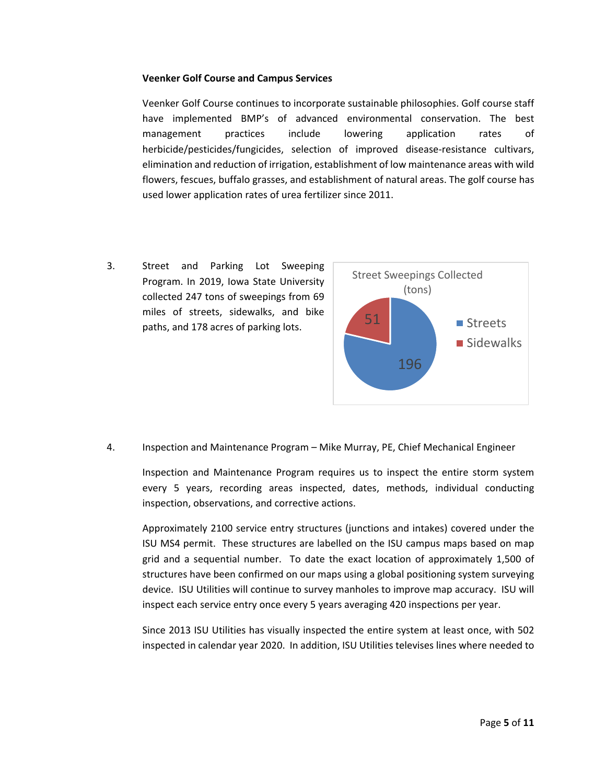### **Veenker Golf Course and Campus Services**

Veenker Golf Course continues to incorporate sustainable philosophies. Golf course staff have implemented BMP's of advanced environmental conservation. The best management practices include lowering application rates of herbicide/pesticides/fungicides, selection of improved disease-resistance cultivars, elimination and reduction of irrigation, establishment of low maintenance areas with wild flowers, fescues, buffalo grasses, and establishment of natural areas. The golf course has used lower application rates of urea fertilizer since 2011.

3. Street and Parking Lot Sweeping Program. In 2019, Iowa State University collected 247 tons of sweepings from 69 miles of streets, sidewalks, and bike paths, and 178 acres of parking lots.



4. Inspection and Maintenance Program – Mike Murray, PE, Chief Mechanical Engineer

Inspection and Maintenance Program requires us to inspect the entire storm system every 5 years, recording areas inspected, dates, methods, individual conducting inspection, observations, and corrective actions.

Approximately 2100 service entry structures (junctions and intakes) covered under the ISU MS4 permit. These structures are labelled on the ISU campus maps based on map grid and a sequential number. To date the exact location of approximately 1,500 of structures have been confirmed on our maps using a global positioning system surveying device. ISU Utilities will continue to survey manholes to improve map accuracy. ISU will inspect each service entry once every 5 years averaging 420 inspections per year.

Since 2013 ISU Utilities has visually inspected the entire system at least once, with 502 inspected in calendar year 2020. In addition, ISU Utilities televises lines where needed to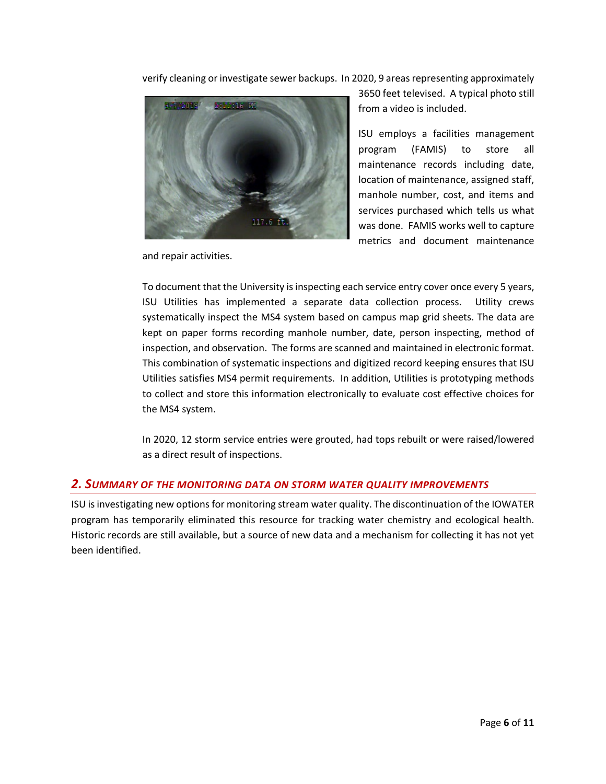verify cleaning or investigate sewer backups. In 2020, 9 areas representing approximately



and repair activities.

3650 feet televised. A typical photo still from a video is included.

ISU employs a facilities management program (FAMIS) to store all maintenance records including date, location of maintenance, assigned staff, manhole number, cost, and items and services purchased which tells us what was done. FAMIS works well to capture metrics and document maintenance

To document that the University is inspecting each service entry cover once every 5 years, ISU Utilities has implemented a separate data collection process. Utility crews systematically inspect the MS4 system based on campus map grid sheets. The data are kept on paper forms recording manhole number, date, person inspecting, method of inspection, and observation. The forms are scanned and maintained in electronic format. This combination of systematic inspections and digitized record keeping ensures that ISU Utilities satisfies MS4 permit requirements. In addition, Utilities is prototyping methods to collect and store this information electronically to evaluate cost effective choices for the MS4 system.

In 2020, 12 storm service entries were grouted, had tops rebuilt or were raised/lowered as a direct result of inspections.

## *2. SUMMARY OF THE MONITORING DATA ON STORM WATER QUALITY IMPROVEMENTS*

ISU is investigating new options for monitoring stream water quality. The discontinuation of the IOWATER program has temporarily eliminated this resource for tracking water chemistry and ecological health. Historic records are still available, but a source of new data and a mechanism for collecting it has not yet been identified.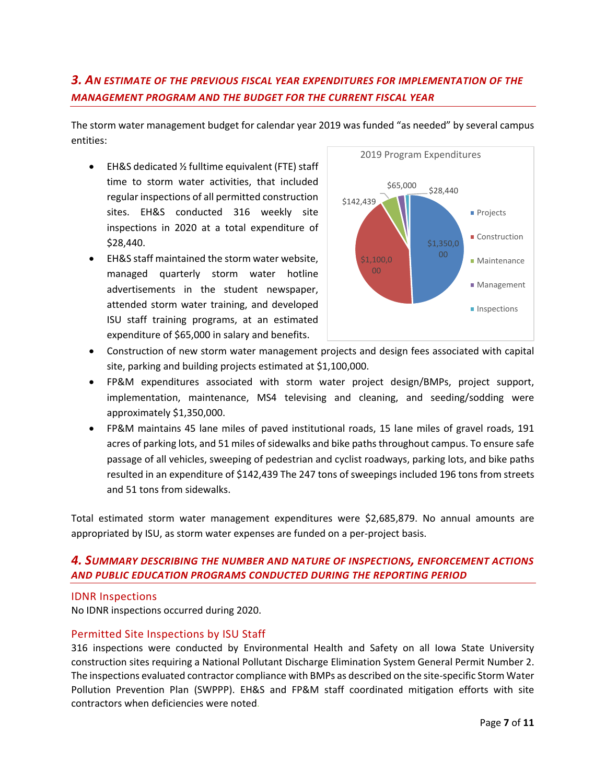# *3. AN ESTIMATE OF THE PREVIOUS FISCAL YEAR EXPENDITURES FOR IMPLEMENTATION OF THE MANAGEMENT PROGRAM AND THE BUDGET FOR THE CURRENT FISCAL YEAR*

The storm water management budget for calendar year 2019 was funded "as needed" by several campus entities:

- EH&S dedicated ½ fulltime equivalent (FTE) staff time to storm water activities, that included regular inspections of all permitted construction sites. EH&S conducted 316 weekly site inspections in 2020 at a total expenditure of \$28,440.
- EH&S staff maintained the storm water website, managed quarterly storm water hotline advertisements in the student newspaper, attended storm water training, and developed ISU staff training programs, at an estimated expenditure of \$65,000 in salary and benefits.



- Construction of new storm water management projects and design fees associated with capital site, parking and building projects estimated at \$1,100,000.
- FP&M expenditures associated with storm water project design/BMPs, project support, implementation, maintenance, MS4 televising and cleaning, and seeding/sodding were approximately \$1,350,000.
- FP&M maintains 45 lane miles of paved institutional roads, 15 lane miles of gravel roads, 191 acres of parking lots, and 51 miles of sidewalks and bike paths throughout campus. To ensure safe passage of all vehicles, sweeping of pedestrian and cyclist roadways, parking lots, and bike paths resulted in an expenditure of \$142,439 The 247 tons of sweepings included 196 tons from streets and 51 tons from sidewalks.

Total estimated storm water management expenditures were \$2,685,879. No annual amounts are appropriated by ISU, as storm water expenses are funded on a per-project basis.

# *4. SUMMARY DESCRIBING THE NUMBER AND NATURE OF INSPECTIONS, ENFORCEMENT ACTIONS AND PUBLIC EDUCATION PROGRAMS CONDUCTED DURING THE REPORTING PERIOD*

## IDNR Inspections

No IDNR inspections occurred during 2020.

## Permitted Site Inspections by ISU Staff

316 inspections were conducted by Environmental Health and Safety on all Iowa State University construction sites requiring a National Pollutant Discharge Elimination System General Permit Number 2. The inspections evaluated contractor compliance with BMPs as described on the site-specific Storm Water Pollution Prevention Plan (SWPPP). EH&S and FP&M staff coordinated mitigation efforts with site contractors when deficiencies were noted.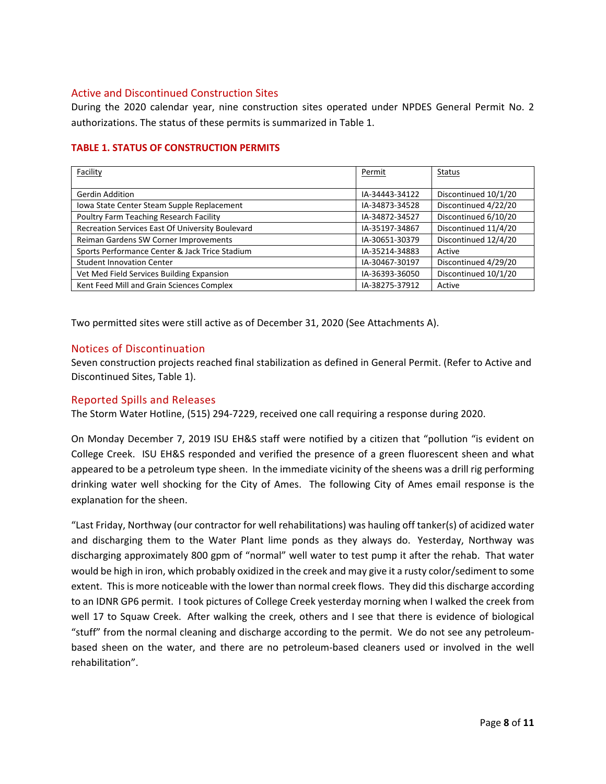## Active and Discontinued Construction Sites

During the 2020 calendar year, nine construction sites operated under NPDES General Permit No. 2 authorizations. The status of these permits is summarized in Table 1.

| Facility                                         | Permit         | Status               |
|--------------------------------------------------|----------------|----------------------|
|                                                  |                |                      |
|                                                  |                |                      |
| <b>Gerdin Addition</b>                           | IA-34443-34122 | Discontinued 10/1/20 |
| Iowa State Center Steam Supple Replacement       | IA-34873-34528 | Discontinued 4/22/20 |
| Poultry Farm Teaching Research Facility          | IA-34872-34527 | Discontinued 6/10/20 |
| Recreation Services East Of University Boulevard | IA-35197-34867 | Discontinued 11/4/20 |
| Reiman Gardens SW Corner Improvements            | IA-30651-30379 | Discontinued 12/4/20 |
| Sports Performance Center & Jack Trice Stadium   | IA-35214-34883 | Active               |
| <b>Student Innovation Center</b>                 | IA-30467-30197 | Discontinued 4/29/20 |
| Vet Med Field Services Building Expansion        | IA-36393-36050 | Discontinued 10/1/20 |
| Kent Feed Mill and Grain Sciences Complex        | IA-38275-37912 | Active               |

# **TABLE 1. STATUS OF CONSTRUCTION PERMITS**

Two permitted sites were still active as of December 31, 2020 (See Attachments A).

## Notices of Discontinuation

Seven construction projects reached final stabilization as defined in General Permit. (Refer to Active and Discontinued Sites, Table 1).

## Reported Spills and Releases

The Storm Water Hotline, (515) 294-7229, received one call requiring a response during 2020.

On Monday December 7, 2019 ISU EH&S staff were notified by a citizen that "pollution "is evident on College Creek. ISU EH&S responded and verified the presence of a green fluorescent sheen and what appeared to be a petroleum type sheen. In the immediate vicinity of the sheens was a drill rig performing drinking water well shocking for the City of Ames. The following City of Ames email response is the explanation for the sheen.

"Last Friday, Northway (our contractor for well rehabilitations) was hauling off tanker(s) of acidized water and discharging them to the Water Plant lime ponds as they always do. Yesterday, Northway was discharging approximately 800 gpm of "normal" well water to test pump it after the rehab. That water would be high in iron, which probably oxidized in the creek and may give it a rusty color/sediment to some extent. This is more noticeable with the lower than normal creek flows. They did this discharge according to an IDNR GP6 permit. I took pictures of College Creek yesterday morning when I walked the creek from well 17 to Squaw Creek. After walking the creek, others and I see that there is evidence of biological "stuff" from the normal cleaning and discharge according to the permit. We do not see any petroleumbased sheen on the water, and there are no petroleum-based cleaners used or involved in the well rehabilitation".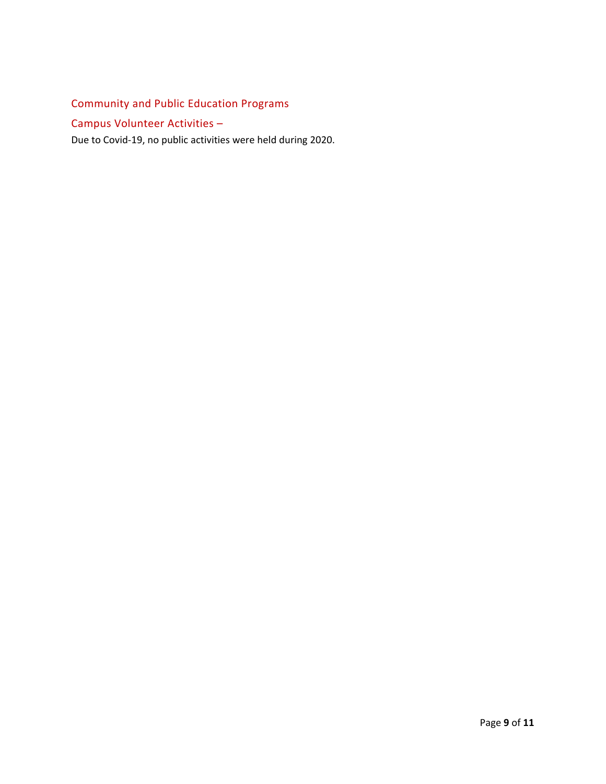# Community and Public Education Programs

# Campus Volunteer Activities –

Due to Covid-19, no public activities were held during 2020.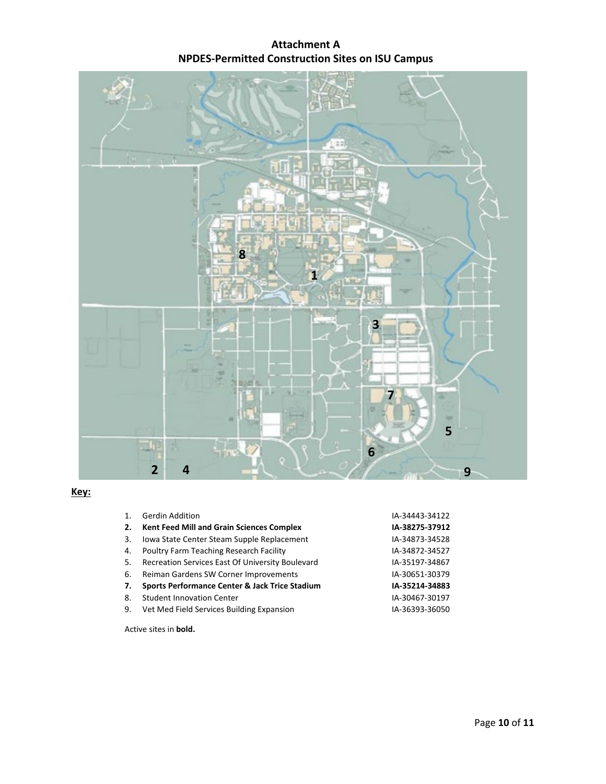# **Attachment A NPDES-Permitted Construction Sites on ISU Campus**



# **Key:**

|    | <b>Gerdin Addition</b>                           | IA-34443-34122 |  |  |
|----|--------------------------------------------------|----------------|--|--|
| 2. | <b>Kent Feed Mill and Grain Sciences Complex</b> | IA-38275-37912 |  |  |
| 3. | Iowa State Center Steam Supple Replacement       | IA-34873-34528 |  |  |
| 4. | Poultry Farm Teaching Research Facility          | IA-34872-34527 |  |  |
| 5. | Recreation Services East Of University Boulevard | IA-35197-34867 |  |  |
| 6. | Reiman Gardens SW Corner Improvements            | IA-30651-30379 |  |  |
| 7. | Sports Performance Center & Jack Trice Stadium   | IA-35214-34883 |  |  |
| 8. | <b>Student Innovation Center</b>                 | IA-30467-30197 |  |  |
| 9. | Vet Med Field Services Building Expansion        | IA-36393-36050 |  |  |
|    | المالحامل منافستان ومستنقصه                      |                |  |  |

Active sites in **bold.**